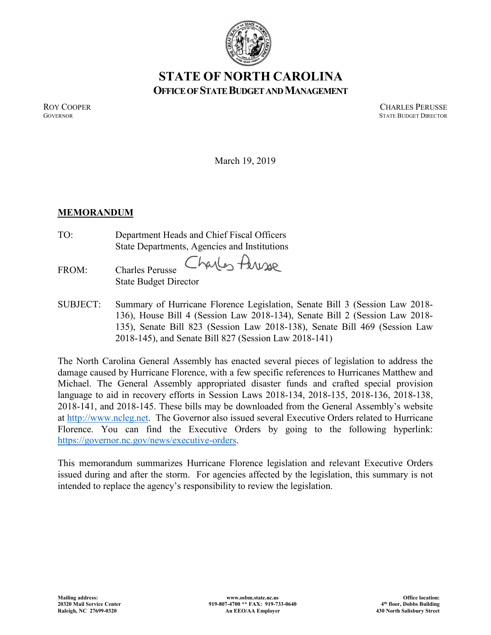

# **STATE OF NORTH CAROLINA OFFICE OF STATE BUDGET AND MANAGEMENT**

ROY COOPER<br>GOVERNOR STATE BUDGER COOPER COOPER **STATE BUDGET DIRECTOR** 

March 19, 2019

# **MEMORANDUM**

TO: Department Heads and Chief Fiscal Officers State Departments, Agencies and Institutions

FROM: Charles Perusse State Budget Director

Charles Peresse

SUBJECT: Summary of Hurricane Florence Legislation, Senate Bill 3 (Session Law 2018- 136), House Bill 4 (Session Law 2018-134), Senate Bill 2 (Session Law 2018- 135), Senate Bill 823 (Session Law 2018-138), Senate Bill 469 (Session Law 2018-145), and Senate Bill 827 (Session Law 2018-141)

The North Carolina General Assembly has enacted several pieces of legislation to address the damage caused by Hurricane Florence, with a few specific references to Hurricanes Matthew and Michael. The General Assembly appropriated disaster funds and crafted special provision language to aid in recovery efforts in Session Laws 2018-134, 2018-135, 2018-136, 2018-138, 2018-141, and 2018-145. These bills may be downloaded from the General Assembly's website at [http://www.ncleg.net.](http://www.ncleg.net/) The Governor also issued several Executive Orders related to Hurricane Florence. You can find the Executive Orders by going to the following hyperlink: [https://governor.nc.gov/news/executive-orders.](https://governor.nc.gov/news/executive-orders)

This memorandum summarizes Hurricane Florence legislation and relevant Executive Orders issued during and after the storm. For agencies affected by the legislation, this summary is not intended to replace the agency's responsibility to review the legislation.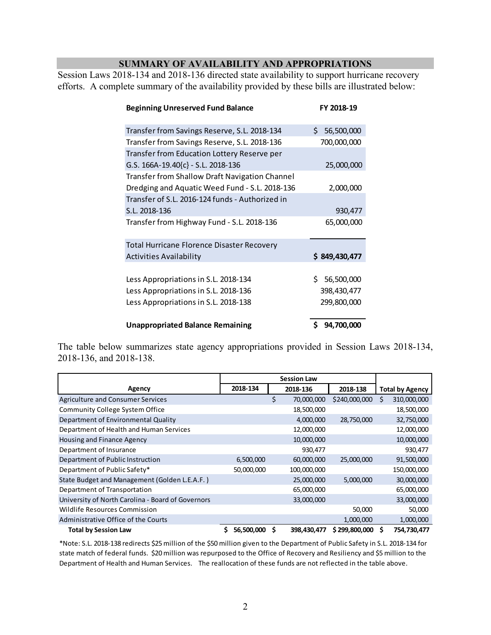## **SUMMARY OF AVAILABILITY AND APPROPRIATIONS**

Session Laws 2018-134 and 2018-136 directed state availability to support hurricane recovery efforts. A complete summary of the availability provided by these bills are illustrated below:

| <b>Beginning Unreserved Fund Balance</b>          | FY 2018-19       |  |  |  |
|---------------------------------------------------|------------------|--|--|--|
| Transfer from Savings Reserve, S.L. 2018-134      | Ś.<br>56,500,000 |  |  |  |
| Transfer from Savings Reserve, S.L. 2018-136      | 700,000,000      |  |  |  |
| Transfer from Education Lottery Reserve per       |                  |  |  |  |
| G.S. $166A-19.40{c} - S.L. 2018-136$              | 25,000,000       |  |  |  |
| Transfer from Shallow Draft Navigation Channel    |                  |  |  |  |
| Dredging and Aquatic Weed Fund - S.L. 2018-136    | 2,000,000        |  |  |  |
| Transfer of S.L. 2016-124 funds - Authorized in   |                  |  |  |  |
| S.L. 2018-136                                     | 930,477          |  |  |  |
| Transfer from Highway Fund - S.L. 2018-136        | 65,000,000       |  |  |  |
| <b>Total Hurricane Florence Disaster Recovery</b> |                  |  |  |  |
| <b>Activities Availability</b>                    | \$849,430,477    |  |  |  |
|                                                   |                  |  |  |  |
| Less Appropriations in S.L. 2018-134              | 56,500,000<br>S. |  |  |  |
| Less Appropriations in S.L. 2018-136              | 398,430,477      |  |  |  |
| Less Appropriations in S.L. 2018-138              | 299,800,000      |  |  |  |
| <b>Unappropriated Balance Remaining</b>           | 94,700,000       |  |  |  |

The table below summarizes state agency appropriations provided in Session Laws 2018-134, 2018-136, and 2018-138.

|                                                   | <b>Session Law</b> |   |             |               |                        |
|---------------------------------------------------|--------------------|---|-------------|---------------|------------------------|
| Agency                                            | 2018-134           |   | 2018-136    | 2018-138      | <b>Total by Agency</b> |
| <b>Agriculture and Consumer Services</b>          |                    | Ś | 70,000,000  | \$240,000,000 | \$<br>310,000,000      |
| <b>Community College System Office</b>            |                    |   | 18,500,000  |               | 18,500,000             |
| Department of Environmental Quality               |                    |   | 4,000,000   | 28,750,000    | 32,750,000             |
| Department of Health and Human Services           |                    |   | 12,000,000  |               | 12,000,000             |
| Housing and Finance Agency                        |                    |   | 10,000,000  |               | 10,000,000             |
| Department of Insurance                           |                    |   | 930,477     |               | 930,477                |
| Department of Public Instruction                  | 6,500,000          |   | 60,000,000  | 25,000,000    | 91,500,000             |
| Department of Public Safety*                      | 50,000,000         |   | 100,000,000 |               | 150,000,000            |
| State Budget and Management (Golden L.E.A.F.)     |                    |   | 25,000,000  | 5,000,000     | 30,000,000             |
| Department of Transportation                      |                    |   | 65,000,000  |               | 65,000,000             |
| University of North Carolina - Board of Governors |                    |   | 33,000,000  |               | 33,000,000             |
| Wildlife Resources Commission                     |                    |   |             | 50,000        | 50,000                 |
| Administrative Office of the Courts               |                    |   |             | 1,000,000     | 1,000,000              |
| <b>Total by Session Law</b>                       | \$<br>56,500,000   | S | 398,430,477 | \$299,800,000 | \$<br>754,730,477      |

\*Note: S.L. 2018-138 redirects \$25 million of the \$50 million given to the Department of Public Safety in S.L. 2018-134 for state match of federal funds. \$20 million was repurposed to the Office of Recovery and Resiliency and \$5 million to the Department of Health and Human Services. The reallocation of these funds are not reflected in the table above.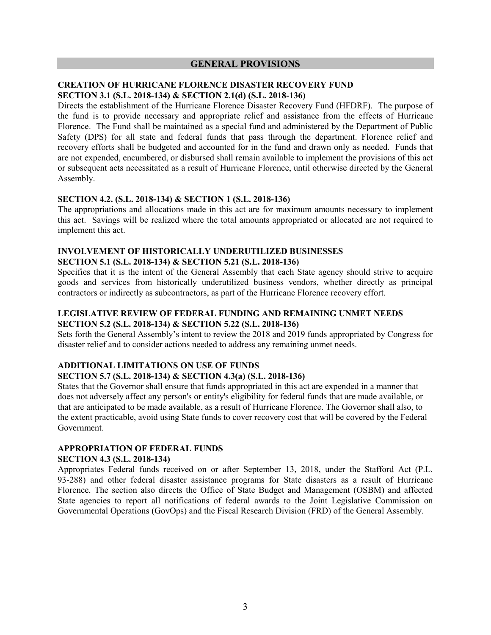#### **GENERAL PROVISIONS**

#### **CREATION OF HURRICANE FLORENCE DISASTER RECOVERY FUND SECTION 3.1 (S.L. 2018-134) & SECTION 2.1(d) (S.L. 2018-136)**

Directs the establishment of the Hurricane Florence Disaster Recovery Fund (HFDRF). The purpose of the fund is to provide necessary and appropriate relief and assistance from the effects of Hurricane Florence. The Fund shall be maintained as a special fund and administered by the Department of Public Safety (DPS) for all state and federal funds that pass through the department. Florence relief and recovery efforts shall be budgeted and accounted for in the fund and drawn only as needed. Funds that are not expended, encumbered, or disbursed shall remain available to implement the provisions of this act or subsequent acts necessitated as a result of Hurricane Florence, until otherwise directed by the General Assembly.

#### **SECTION 4.2. (S.L. 2018-134) & SECTION 1 (S.L. 2018-136)**

The appropriations and allocations made in this act are for maximum amounts necessary to implement this act. Savings will be realized where the total amounts appropriated or allocated are not required to implement this act.

#### **INVOLVEMENT OF HISTORICALLY UNDERUTILIZED BUSINESSES SECTION 5.1 (S.L. 2018-134) & SECTION 5.21 (S.L. 2018-136)**

Specifies that it is the intent of the General Assembly that each State agency should strive to acquire goods and services from historically underutilized business vendors, whether directly as principal contractors or indirectly as subcontractors, as part of the Hurricane Florence recovery effort.

## **LEGISLATIVE REVIEW OF FEDERAL FUNDING AND REMAINING UNMET NEEDS SECTION 5.2 (S.L. 2018-134) & SECTION 5.22 (S.L. 2018-136)**

Sets forth the General Assembly's intent to review the 2018 and 2019 funds appropriated by Congress for disaster relief and to consider actions needed to address any remaining unmet needs.

# **ADDITIONAL LIMITATIONS ON USE OF FUNDS**

### **SECTION 5.7 (S.L. 2018-134) & SECTION 4.3(a) (S.L. 2018-136)**

States that the Governor shall ensure that funds appropriated in this act are expended in a manner that does not adversely affect any person's or entity's eligibility for federal funds that are made available, or that are anticipated to be made available, as a result of Hurricane Florence. The Governor shall also, to the extent practicable, avoid using State funds to cover recovery cost that will be covered by the Federal Government.

# **APPROPRIATION OF FEDERAL FUNDS**

## **SECTION 4.3 (S.L. 2018-134)**

Appropriates Federal funds received on or after September 13, 2018, under the Stafford Act (P.L. 93-288) and other federal disaster assistance programs for State disasters as a result of Hurricane Florence. The section also directs the Office of State Budget and Management (OSBM) and affected State agencies to report all notifications of federal awards to the Joint Legislative Commission on Governmental Operations (GovOps) and the Fiscal Research Division (FRD) of the General Assembly.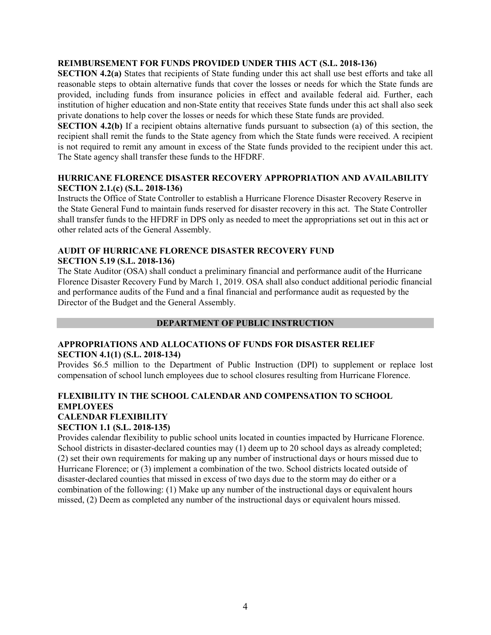#### **REIMBURSEMENT FOR FUNDS PROVIDED UNDER THIS ACT (S.L. 2018-136)**

**SECTION 4.2(a)** States that recipients of State funding under this act shall use best efforts and take all reasonable steps to obtain alternative funds that cover the losses or needs for which the State funds are provided, including funds from insurance policies in effect and available federal aid. Further, each institution of higher education and non-State entity that receives State funds under this act shall also seek private donations to help cover the losses or needs for which these State funds are provided.

**SECTION 4.2(b)** If a recipient obtains alternative funds pursuant to subsection (a) of this section, the recipient shall remit the funds to the State agency from which the State funds were received. A recipient is not required to remit any amount in excess of the State funds provided to the recipient under this act. The State agency shall transfer these funds to the HFDRF.

#### **HURRICANE FLORENCE DISASTER RECOVERY APPROPRIATION AND AVAILABILITY SECTION 2.1.(c) (S.L. 2018-136)**

Instructs the Office of State Controller to establish a Hurricane Florence Disaster Recovery Reserve in the State General Fund to maintain funds reserved for disaster recovery in this act. The State Controller shall transfer funds to the HFDRF in DPS only as needed to meet the appropriations set out in this act or other related acts of the General Assembly.

#### **AUDIT OF HURRICANE FLORENCE DISASTER RECOVERY FUND SECTION 5.19 (S.L. 2018-136)**

The State Auditor (OSA) shall conduct a preliminary financial and performance audit of the Hurricane Florence Disaster Recovery Fund by March 1, 2019. OSA shall also conduct additional periodic financial and performance audits of the Fund and a final financial and performance audit as requested by the Director of the Budget and the General Assembly.

## **DEPARTMENT OF PUBLIC INSTRUCTION**

## **APPROPRIATIONS AND ALLOCATIONS OF FUNDS FOR DISASTER RELIEF SECTION 4.1(1) (S.L. 2018-134)**

Provides \$6.5 million to the Department of Public Instruction (DPI) to supplement or replace lost compensation of school lunch employees due to school closures resulting from Hurricane Florence.

## **FLEXIBILITY IN THE SCHOOL CALENDAR AND COMPENSATION TO SCHOOL EMPLOYEES CALENDAR FLEXIBILITY SECTION 1.1 (S.L. 2018-135)**

Provides calendar flexibility to public school units located in counties impacted by Hurricane Florence. School districts in disaster-declared counties may (1) deem up to 20 school days as already completed; (2) set their own requirements for making up any number of instructional days or hours missed due to Hurricane Florence; or (3) implement a combination of the two. School districts located outside of disaster-declared counties that missed in excess of two days due to the storm may do either or a combination of the following: (1) Make up any number of the instructional days or equivalent hours missed, (2) Deem as completed any number of the instructional days or equivalent hours missed.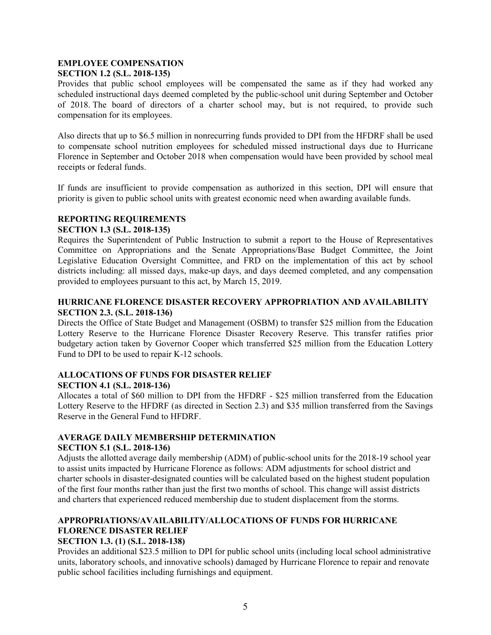#### **EMPLOYEE COMPENSATION SECTION 1.2 (S.L. 2018-135)**

Provides that public school employees will be compensated the same as if they had worked any scheduled instructional days deemed completed by the public-school unit during September and October of 2018. The board of directors of a charter school may, but is not required, to provide such compensation for its employees.

Also directs that up to \$6.5 million in nonrecurring funds provided to DPI from the HFDRF shall be used to compensate school nutrition employees for scheduled missed instructional days due to Hurricane Florence in September and October 2018 when compensation would have been provided by school meal receipts or federal funds.

If funds are insufficient to provide compensation as authorized in this section, DPI will ensure that priority is given to public school units with greatest economic need when awarding available funds.

#### **REPORTING REQUIREMENTS**

#### **SECTION 1.3 (S.L. 2018-135)**

Requires the Superintendent of Public Instruction to submit a report to the House of Representatives Committee on Appropriations and the Senate Appropriations/Base Budget Committee, the Joint Legislative Education Oversight Committee, and FRD on the implementation of this act by school districts including: all missed days, make-up days, and days deemed completed, and any compensation provided to employees pursuant to this act, by March 15, 2019.

### **HURRICANE FLORENCE DISASTER RECOVERY APPROPRIATION AND AVAILABILITY SECTION 2.3. (S.L. 2018-136)**

Directs the Office of State Budget and Management (OSBM) to transfer \$25 million from the Education Lottery Reserve to the Hurricane Florence Disaster Recovery Reserve. This transfer ratifies prior budgetary action taken by Governor Cooper which transferred \$25 million from the Education Lottery Fund to DPI to be used to repair K-12 schools.

## **ALLOCATIONS OF FUNDS FOR DISASTER RELIEF SECTION 4.1 (S.L. 2018-136)**

Allocates a total of \$60 million to DPI from the HFDRF - \$25 million transferred from the Education Lottery Reserve to the HFDRF (as directed in Section 2.3) and \$35 million transferred from the Savings Reserve in the General Fund to HFDRF.

# **AVERAGE DAILY MEMBERSHIP DETERMINATION**

#### **SECTION 5.1 (S.L. 2018-136)**

Adjusts the allotted average daily membership (ADM) of public-school units for the 2018-19 school year to assist units impacted by Hurricane Florence as follows: ADM adjustments for school district and charter schools in disaster-designated counties will be calculated based on the highest student population of the first four months rather than just the first two months of school. This change will assist districts and charters that experienced reduced membership due to student displacement from the storms.

# **APPROPRIATIONS/AVAILABILITY/ALLOCATIONS OF FUNDS FOR HURRICANE FLORENCE DISASTER RELIEF**

## **SECTION 1.3. (1) (S.L. 2018-138)**

Provides an additional \$23.5 million to DPI for public school units (including local school administrative units, laboratory schools, and innovative schools) damaged by Hurricane Florence to repair and renovate public school facilities including furnishings and equipment.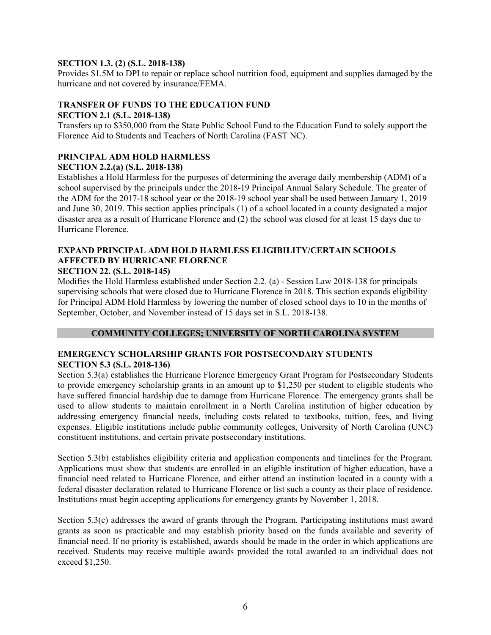#### **SECTION 1.3. (2) (S.L. 2018-138)**

Provides \$1.5M to DPI to repair or replace school nutrition food, equipment and supplies damaged by the hurricane and not covered by insurance/FEMA.

## **TRANSFER OF FUNDS TO THE EDUCATION FUND**

## **SECTION 2.1 (S.L. 2018-138)**

Transfers up to \$350,000 from the State Public School Fund to the Education Fund to solely support the Florence Aid to Students and Teachers of North Carolina (FAST NC).

## **PRINCIPAL ADM HOLD HARMLESS**

#### **SECTION 2.2.(a) (S.L. 2018-138)**

Establishes a Hold Harmless for the purposes of determining the average daily membership (ADM) of a school supervised by the principals under the 2018-19 Principal Annual Salary Schedule. The greater of the ADM for the 2017-18 school year or the 2018-19 school year shall be used between January 1, 2019 and June 30, 2019. This section applies principals (1) of a school located in a county designated a major disaster area as a result of Hurricane Florence and (2) the school was closed for at least 15 days due to Hurricane Florence.

# **EXPAND PRINCIPAL ADM HOLD HARMLESS ELIGIBILITY/CERTAIN SCHOOLS AFFECTED BY HURRICANE FLORENCE**

#### **SECTION 22. (S.L. 2018-145)**

Modifies the Hold Harmless established under Section 2.2. (a) - Session Law 2018-138 for principals supervising schools that were closed due to Hurricane Florence in 2018. This section expands eligibility for Principal ADM Hold Harmless by lowering the number of closed school days to 10 in the months of September, October, and November instead of 15 days set in S.L. 2018-138.

## **COMMUNITY COLLEGES; UNIVERSITY OF NORTH CAROLINA SYSTEM**

#### **EMERGENCY SCHOLARSHIP GRANTS FOR POSTSECONDARY STUDENTS SECTION 5.3 (S.L. 2018-136)**

Section 5.3(a) establishes the Hurricane Florence Emergency Grant Program for Postsecondary Students to provide emergency scholarship grants in an amount up to \$1,250 per student to eligible students who have suffered financial hardship due to damage from Hurricane Florence. The emergency grants shall be used to allow students to maintain enrollment in a North Carolina institution of higher education by addressing emergency financial needs, including costs related to textbooks, tuition, fees, and living expenses. Eligible institutions include public community colleges, University of North Carolina (UNC) constituent institutions, and certain private postsecondary institutions.

Section 5.3(b) establishes eligibility criteria and application components and timelines for the Program. Applications must show that students are enrolled in an eligible institution of higher education, have a financial need related to Hurricane Florence, and either attend an institution located in a county with a federal disaster declaration related to Hurricane Florence or list such a county as their place of residence. Institutions must begin accepting applications for emergency grants by November 1, 2018.

Section 5.3(c) addresses the award of grants through the Program. Participating institutions must award grants as soon as practicable and may establish priority based on the funds available and severity of financial need. If no priority is established, awards should be made in the order in which applications are received. Students may receive multiple awards provided the total awarded to an individual does not exceed \$1,250.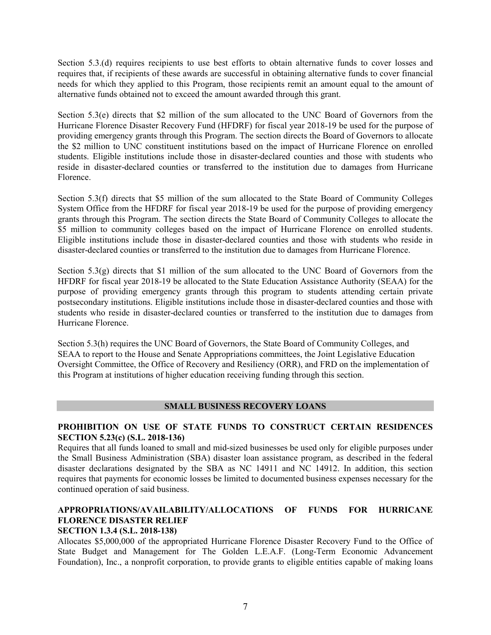Section 5.3.(d) requires recipients to use best efforts to obtain alternative funds to cover losses and requires that, if recipients of these awards are successful in obtaining alternative funds to cover financial needs for which they applied to this Program, those recipients remit an amount equal to the amount of alternative funds obtained not to exceed the amount awarded through this grant.

Section 5.3(e) directs that \$2 million of the sum allocated to the UNC Board of Governors from the Hurricane Florence Disaster Recovery Fund (HFDRF) for fiscal year 2018-19 be used for the purpose of providing emergency grants through this Program. The section directs the Board of Governors to allocate the \$2 million to UNC constituent institutions based on the impact of Hurricane Florence on enrolled students. Eligible institutions include those in disaster-declared counties and those with students who reside in disaster-declared counties or transferred to the institution due to damages from Hurricane Florence.

Section 5.3(f) directs that \$5 million of the sum allocated to the State Board of Community Colleges System Office from the HFDRF for fiscal year 2018-19 be used for the purpose of providing emergency grants through this Program. The section directs the State Board of Community Colleges to allocate the \$5 million to community colleges based on the impact of Hurricane Florence on enrolled students. Eligible institutions include those in disaster-declared counties and those with students who reside in disaster-declared counties or transferred to the institution due to damages from Hurricane Florence.

Section  $5.3(g)$  directs that \$1 million of the sum allocated to the UNC Board of Governors from the HFDRF for fiscal year 2018-19 be allocated to the State Education Assistance Authority (SEAA) for the purpose of providing emergency grants through this program to students attending certain private postsecondary institutions. Eligible institutions include those in disaster-declared counties and those with students who reside in disaster-declared counties or transferred to the institution due to damages from Hurricane Florence.

Section 5.3(h) requires the UNC Board of Governors, the State Board of Community Colleges, and SEAA to report to the House and Senate Appropriations committees, the Joint Legislative Education Oversight Committee, the Office of Recovery and Resiliency (ORR), and FRD on the implementation of this Program at institutions of higher education receiving funding through this section.

#### **SMALL BUSINESS RECOVERY LOANS**

#### **PROHIBITION ON USE OF STATE FUNDS TO CONSTRUCT CERTAIN RESIDENCES SECTION 5.23(c) (S.L. 2018-136)**

Requires that all funds loaned to small and mid-sized businesses be used only for eligible purposes under the Small Business Administration (SBA) disaster loan assistance program, as described in the federal disaster declarations designated by the SBA as NC 14911 and NC 14912. In addition, this section requires that payments for economic losses be limited to documented business expenses necessary for the continued operation of said business.

# **APPROPRIATIONS/AVAILABILITY/ALLOCATIONS OF FUNDS FOR HURRICANE FLORENCE DISASTER RELIEF**

#### **SECTION 1.3.4 (S.L. 2018-138)**

Allocates \$5,000,000 of the appropriated Hurricane Florence Disaster Recovery Fund to the Office of State Budget and Management for The Golden L.E.A.F. (Long-Term Economic Advancement Foundation), Inc., a nonprofit corporation, to provide grants to eligible entities capable of making loans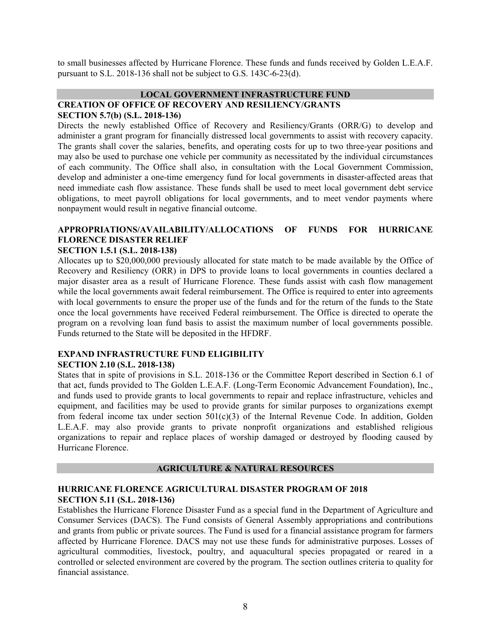to small businesses affected by Hurricane Florence. These funds and funds received by Golden L.E.A.F. pursuant to S.L. 2018-136 shall not be subject to G.S. 143C-6-23(d).

#### **LOCAL GOVERNMENT INFRASTRUCTURE FUND CREATION OF OFFICE OF RECOVERY AND RESILIENCY/GRANTS SECTION 5.7(b) (S.L. 2018-136)**

Directs the newly established Office of Recovery and Resiliency/Grants (ORR/G) to develop and administer a grant program for financially distressed local governments to assist with recovery capacity. The grants shall cover the salaries, benefits, and operating costs for up to two three-year positions and may also be used to purchase one vehicle per community as necessitated by the individual circumstances of each community. The Office shall also, in consultation with the Local Government Commission, develop and administer a one-time emergency fund for local governments in disaster-affected areas that need immediate cash flow assistance. These funds shall be used to meet local government debt service obligations, to meet payroll obligations for local governments, and to meet vendor payments where nonpayment would result in negative financial outcome.

# **APPROPRIATIONS/AVAILABILITY/ALLOCATIONS OF FUNDS FOR HURRICANE FLORENCE DISASTER RELIEF**

#### **SECTION 1.5.1 (S.L. 2018-138)**

Allocates up to \$20,000,000 previously allocated for state match to be made available by the Office of Recovery and Resiliency (ORR) in DPS to provide loans to local governments in counties declared a major disaster area as a result of Hurricane Florence. These funds assist with cash flow management while the local governments await federal reimbursement. The Office is required to enter into agreements with local governments to ensure the proper use of the funds and for the return of the funds to the State once the local governments have received Federal reimbursement. The Office is directed to operate the program on a revolving loan fund basis to assist the maximum number of local governments possible. Funds returned to the State will be deposited in the HFDRF.

#### **EXPAND INFRASTRUCTURE FUND ELIGIBILITY SECTION 2.10 (S.L. 2018-138)**

States that in spite of provisions in S.L. 2018-136 or the Committee Report described in Section 6.1 of that act, funds provided to The Golden L.E.A.F. (Long-Term Economic Advancement Foundation), Inc., and funds used to provide grants to local governments to repair and replace infrastructure, vehicles and equipment, and facilities may be used to provide grants for similar purposes to organizations exempt from federal income tax under section  $501(c)(3)$  of the Internal Revenue Code. In addition, Golden L.E.A.F. may also provide grants to private nonprofit organizations and established religious organizations to repair and replace places of worship damaged or destroyed by flooding caused by Hurricane Florence.

#### **AGRICULTURE & NATURAL RESOURCES**

#### **HURRICANE FLORENCE AGRICULTURAL DISASTER PROGRAM OF 2018 SECTION 5.11 (S.L. 2018-136)**

Establishes the Hurricane Florence Disaster Fund as a special fund in the Department of Agriculture and Consumer Services (DACS). The Fund consists of General Assembly appropriations and contributions and grants from public or private sources. The Fund is used for a financial assistance program for farmers affected by Hurricane Florence. DACS may not use these funds for administrative purposes. Losses of agricultural commodities, livestock, poultry, and aquacultural species propagated or reared in a controlled or selected environment are covered by the program. The section outlines criteria to quality for financial assistance.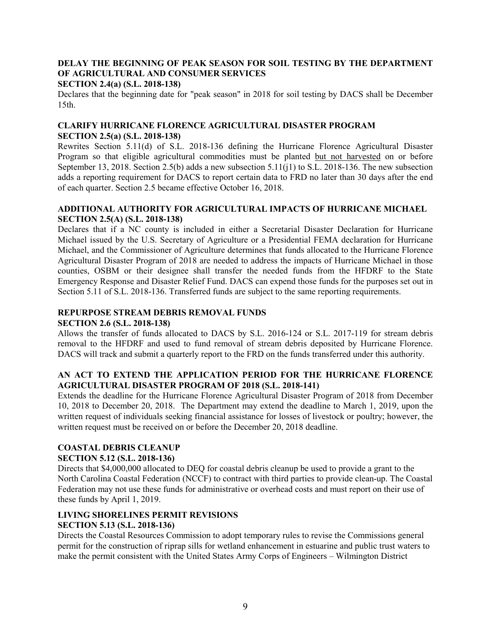## **DELAY THE BEGINNING OF PEAK SEASON FOR SOIL TESTING BY THE DEPARTMENT OF AGRICULTURAL AND CONSUMER SERVICES**

#### **SECTION 2.4(a) (S.L. 2018-138)**

Declares that the beginning date for "peak season" in 2018 for soil testing by DACS shall be December 15th.

## **CLARIFY HURRICANE FLORENCE AGRICULTURAL DISASTER PROGRAM SECTION 2.5(a) (S.L. 2018-138)**

Rewrites Section 5.11(d) of S.L. 2018-136 defining the Hurricane Florence Agricultural Disaster Program so that eligible agricultural commodities must be planted but not harvested on or before September 13, 2018. Section 2.5(b) adds a new subsection 5.11(j1) to S.L. 2018-136. The new subsection adds a reporting requirement for DACS to report certain data to FRD no later than 30 days after the end of each quarter. Section 2.5 became effective October 16, 2018.

#### **ADDITIONAL AUTHORITY FOR AGRICULTURAL IMPACTS OF HURRICANE MICHAEL SECTION 2.5(A) (S.L. 2018-138)**

Declares that if a NC county is included in either a Secretarial Disaster Declaration for Hurricane Michael issued by the U.S. Secretary of Agriculture or a Presidential FEMA declaration for Hurricane Michael, and the Commissioner of Agriculture determines that funds allocated to the Hurricane Florence Agricultural Disaster Program of 2018 are needed to address the impacts of Hurricane Michael in those counties, OSBM or their designee shall transfer the needed funds from the HFDRF to the State Emergency Response and Disaster Relief Fund. DACS can expend those funds for the purposes set out in Section 5.11 of S.L. 2018-136. Transferred funds are subject to the same reporting requirements.

# **REPURPOSE STREAM DEBRIS REMOVAL FUNDS**

#### **SECTION 2.6 (S.L. 2018-138)**

Allows the transfer of funds allocated to DACS by S.L. 2016-124 or S.L. 2017-119 for stream debris removal to the HFDRF and used to fund removal of stream debris deposited by Hurricane Florence. DACS will track and submit a quarterly report to the FRD on the funds transferred under this authority.

## **AN ACT TO EXTEND THE APPLICATION PERIOD FOR THE HURRICANE FLORENCE AGRICULTURAL DISASTER PROGRAM OF 2018 (S.L. 2018-141)**

Extends the deadline for the Hurricane Florence Agricultural Disaster Program of 2018 from December 10, 2018 to December 20, 2018. The Department may extend the deadline to March 1, 2019, upon the written request of individuals seeking financial assistance for losses of livestock or poultry; however, the written request must be received on or before the December 20, 2018 deadline.

## **COASTAL DEBRIS CLEANUP**

## **SECTION 5.12 (S.L. 2018-136)**

Directs that \$4,000,000 allocated to DEQ for coastal debris cleanup be used to provide a grant to the North Carolina Coastal Federation (NCCF) to contract with third parties to provide clean-up. The Coastal Federation may not use these funds for administrative or overhead costs and must report on their use of these funds by April 1, 2019.

# **LIVING SHORELINES PERMIT REVISIONS**

## **SECTION 5.13 (S.L. 2018-136)**

Directs the Coastal Resources Commission to adopt temporary rules to revise the Commissions general permit for the construction of riprap sills for wetland enhancement in estuarine and public trust waters to make the permit consistent with the United States Army Corps of Engineers – Wilmington District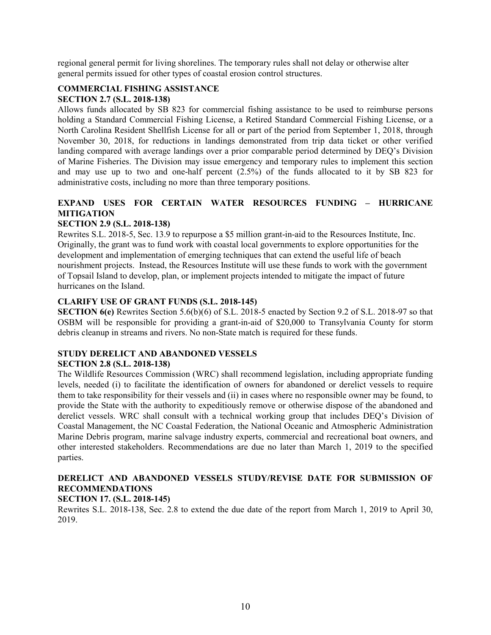regional general permit for living shorelines. The temporary rules shall not delay or otherwise alter general permits issued for other types of coastal erosion control structures.

#### **COMMERCIAL FISHING ASSISTANCE SECTION 2.7 (S.L. 2018-138)**

Allows funds allocated by SB 823 for commercial fishing assistance to be used to reimburse persons holding a Standard Commercial Fishing License, a Retired Standard Commercial Fishing License, or a North Carolina Resident Shellfish License for all or part of the period from September 1, 2018, through November 30, 2018, for reductions in landings demonstrated from trip data ticket or other verified landing compared with average landings over a prior comparable period determined by DEQ's Division of Marine Fisheries. The Division may issue emergency and temporary rules to implement this section and may use up to two and one-half percent (2.5%) of the funds allocated to it by SB 823 for administrative costs, including no more than three temporary positions.

# **EXPAND USES FOR CERTAIN WATER RESOURCES FUNDING – HURRICANE MITIGATION**

#### **SECTION 2.9 (S.L. 2018-138)**

Rewrites S.L. 2018-5, Sec. 13.9 to repurpose a \$5 million grant-in-aid to the Resources Institute, Inc. Originally, the grant was to fund work with coastal local governments to explore opportunities for the development and implementation of emerging techniques that can extend the useful life of beach nourishment projects. Instead, the Resources Institute will use these funds to work with the government of Topsail Island to develop, plan, or implement projects intended to mitigate the impact of future hurricanes on the Island.

#### **CLARIFY USE OF GRANT FUNDS (S.L. 2018-145)**

**SECTION 6(e)** Rewrites Section 5.6(b)(6) of S.L. 2018-5 enacted by Section 9.2 of S.L. 2018-97 so that OSBM will be responsible for providing a grant-in-aid of \$20,000 to Transylvania County for storm debris cleanup in streams and rivers. No non-State match is required for these funds.

# **STUDY DERELICT AND ABANDONED VESSELS**

## **SECTION 2.8 (S.L. 2018-138)**

The Wildlife Resources Commission (WRC) shall recommend legislation, including appropriate funding levels, needed (i) to facilitate the identification of owners for abandoned or derelict vessels to require them to take responsibility for their vessels and (ii) in cases where no responsible owner may be found, to provide the State with the authority to expeditiously remove or otherwise dispose of the abandoned and derelict vessels. WRC shall consult with a technical working group that includes DEQ's Division of Coastal Management, the NC Coastal Federation, the National Oceanic and Atmospheric Administration Marine Debris program, marine salvage industry experts, commercial and recreational boat owners, and other interested stakeholders. Recommendations are due no later than March 1, 2019 to the specified parties.

# **DERELICT AND ABANDONED VESSELS STUDY/REVISE DATE FOR SUBMISSION OF RECOMMENDATIONS**

## **SECTION 17. (S.L. 2018-145)**

Rewrites S.L. 2018-138, Sec. 2.8 to extend the due date of the report from March 1, 2019 to April 30, 2019.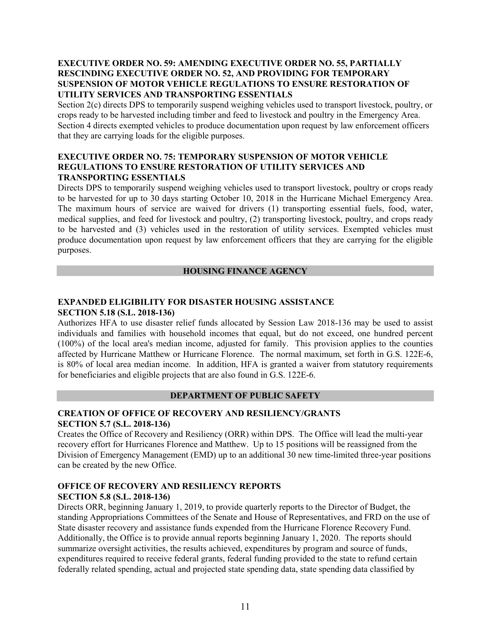### **EXECUTIVE ORDER NO. 59: AMENDING EXECUTIVE ORDER NO. 55, PARTIALLY RESCINDING EXECUTIVE ORDER NO. 52, AND PROVIDING FOR TEMPORARY SUSPENSION OF MOTOR VEHICLE REGULATIONS TO ENSURE RESTORATION OF UTILITY SERVICES AND TRANSPORTING ESSENTIALS**

Section 2(c) directs DPS to temporarily suspend weighing vehicles used to transport livestock, poultry, or crops ready to be harvested including timber and feed to livestock and poultry in the Emergency Area. Section 4 directs exempted vehicles to produce documentation upon request by law enforcement officers that they are carrying loads for the eligible purposes.

#### **EXECUTIVE ORDER NO. 75: TEMPORARY SUSPENSION OF MOTOR VEHICLE REGULATIONS TO ENSURE RESTORATION OF UTILITY SERVICES AND TRANSPORTING ESSENTIALS**

Directs DPS to temporarily suspend weighing vehicles used to transport livestock, poultry or crops ready to be harvested for up to 30 days starting October 10, 2018 in the Hurricane Michael Emergency Area. The maximum hours of service are waived for drivers (1) transporting essential fuels, food, water, medical supplies, and feed for livestock and poultry, (2) transporting livestock, poultry, and crops ready to be harvested and (3) vehicles used in the restoration of utility services. Exempted vehicles must produce documentation upon request by law enforcement officers that they are carrying for the eligible purposes.

#### **HOUSING FINANCE AGENCY**

#### **EXPANDED ELIGIBILITY FOR DISASTER HOUSING ASSISTANCE SECTION 5.18 (S.L. 2018-136)**

Authorizes HFA to use disaster relief funds allocated by Session Law 2018-136 may be used to assist individuals and families with household incomes that equal, but do not exceed, one hundred percent (100%) of the local area's median income, adjusted for family. This provision applies to the counties affected by Hurricane Matthew or Hurricane Florence. The normal maximum, set forth in G.S. 122E-6, is 80% of local area median income. In addition, HFA is granted a waiver from statutory requirements for beneficiaries and eligible projects that are also found in G.S. 122E-6.

#### **DEPARTMENT OF PUBLIC SAFETY**

#### **CREATION OF OFFICE OF RECOVERY AND RESILIENCY/GRANTS SECTION 5.7 (S.L. 2018-136)**

Creates the Office of Recovery and Resiliency (ORR) within DPS. The Office will lead the multi-year recovery effort for Hurricanes Florence and Matthew. Up to 15 positions will be reassigned from the Division of Emergency Management (EMD) up to an additional 30 new time-limited three-year positions can be created by the new Office.

#### **OFFICE OF RECOVERY AND RESILIENCY REPORTS SECTION 5.8 (S.L. 2018-136)**

Directs ORR, beginning January 1, 2019, to provide quarterly reports to the Director of Budget, the standing Appropriations Committees of the Senate and House of Representatives, and FRD on the use of State disaster recovery and assistance funds expended from the Hurricane Florence Recovery Fund. Additionally, the Office is to provide annual reports beginning January 1, 2020. The reports should summarize oversight activities, the results achieved, expenditures by program and source of funds, expenditures required to receive federal grants, federal funding provided to the state to refund certain federally related spending, actual and projected state spending data, state spending data classified by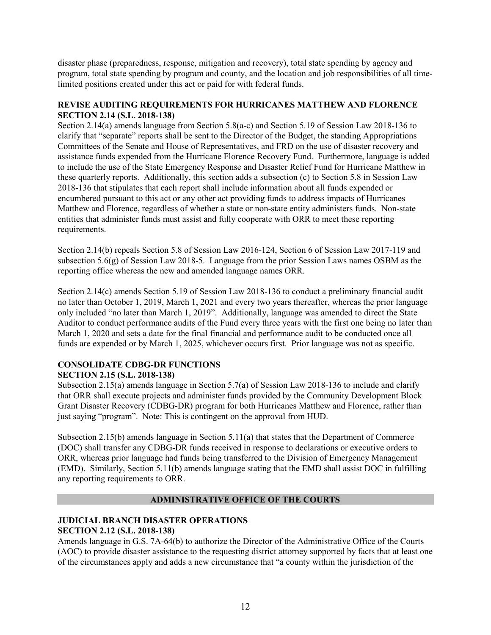disaster phase (preparedness, response, mitigation and recovery), total state spending by agency and program, total state spending by program and county, and the location and job responsibilities of all timelimited positions created under this act or paid for with federal funds.

#### **REVISE AUDITING REQUIREMENTS FOR HURRICANES MATTHEW AND FLORENCE SECTION 2.14 (S.L. 2018-138)**

Section 2.14(a) amends language from Section 5.8(a-c) and Section 5.19 of Session Law 2018-136 to clarify that "separate" reports shall be sent to the Director of the Budget, the standing Appropriations Committees of the Senate and House of Representatives, and FRD on the use of disaster recovery and assistance funds expended from the Hurricane Florence Recovery Fund. Furthermore, language is added to include the use of the State Emergency Response and Disaster Relief Fund for Hurricane Matthew in these quarterly reports. Additionally, this section adds a subsection (c) to Section 5.8 in Session Law 2018-136 that stipulates that each report shall include information about all funds expended or encumbered pursuant to this act or any other act providing funds to address impacts of Hurricanes Matthew and Florence, regardless of whether a state or non-state entity administers funds. Non-state entities that administer funds must assist and fully cooperate with ORR to meet these reporting requirements.

Section 2.14(b) repeals Section 5.8 of Session Law 2016-124, Section 6 of Session Law 2017-119 and subsection 5.6(g) of Session Law 2018-5. Language from the prior Session Laws names OSBM as the reporting office whereas the new and amended language names ORR.

Section 2.14(c) amends Section 5.19 of Session Law 2018-136 to conduct a preliminary financial audit no later than October 1, 2019, March 1, 2021 and every two years thereafter, whereas the prior language only included "no later than March 1, 2019". Additionally, language was amended to direct the State Auditor to conduct performance audits of the Fund every three years with the first one being no later than March 1, 2020 and sets a date for the final financial and performance audit to be conducted once all funds are expended or by March 1, 2025, whichever occurs first. Prior language was not as specific.

# **CONSOLIDATE CDBG-DR FUNCTIONS**

# **SECTION 2.15 (S.L. 2018-138)**

Subsection 2.15(a) amends language in Section 5.7(a) of Session Law 2018-136 to include and clarify that ORR shall execute projects and administer funds provided by the Community Development Block Grant Disaster Recovery (CDBG-DR) program for both Hurricanes Matthew and Florence, rather than just saying "program". Note: This is contingent on the approval from HUD.

Subsection 2.15(b) amends language in Section 5.11(a) that states that the Department of Commerce (DOC) shall transfer any CDBG-DR funds received in response to declarations or executive orders to ORR, whereas prior language had funds being transferred to the Division of Emergency Management (EMD). Similarly, Section 5.11(b) amends language stating that the EMD shall assist DOC in fulfilling any reporting requirements to ORR.

## **ADMINISTRATIVE OFFICE OF THE COURTS**

## **JUDICIAL BRANCH DISASTER OPERATIONS SECTION 2.12 (S.L. 2018-138)**

Amends language in G.S. 7A-64(b) to authorize the Director of the Administrative Office of the Courts (AOC) to provide disaster assistance to the requesting district attorney supported by facts that at least one of the circumstances apply and adds a new circumstance that "a county within the jurisdiction of the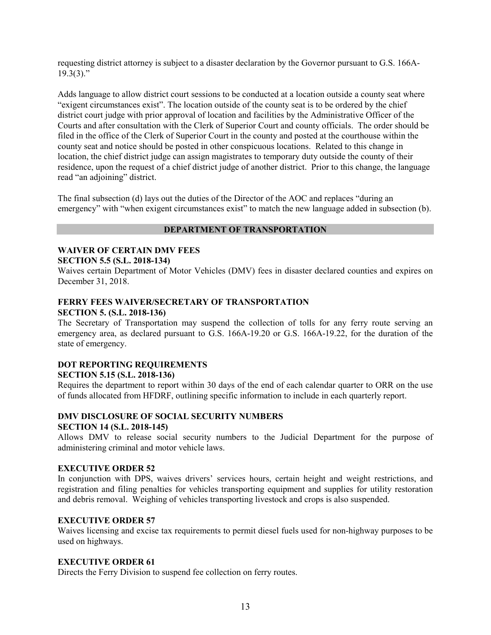requesting district attorney is subject to a disaster declaration by the Governor pursuant to G.S. 166A- $19.3(3)$ ."

Adds language to allow district court sessions to be conducted at a location outside a county seat where "exigent circumstances exist". The location outside of the county seat is to be ordered by the chief district court judge with prior approval of location and facilities by the Administrative Officer of the Courts and after consultation with the Clerk of Superior Court and county officials. The order should be filed in the office of the Clerk of Superior Court in the county and posted at the courthouse within the county seat and notice should be posted in other conspicuous locations. Related to this change in location, the chief district judge can assign magistrates to temporary duty outside the county of their residence, upon the request of a chief district judge of another district. Prior to this change, the language read "an adjoining" district.

The final subsection (d) lays out the duties of the Director of the AOC and replaces "during an emergency" with "when exigent circumstances exist" to match the new language added in subsection (b).

### **DEPARTMENT OF TRANSPORTATION**

# **WAIVER OF CERTAIN DMV FEES**

## **SECTION 5.5 (S.L. 2018-134)**

Waives certain Department of Motor Vehicles (DMV) fees in disaster declared counties and expires on December 31, 2018.

#### **FERRY FEES WAIVER/SECRETARY OF TRANSPORTATION SECTION 5. (S.L. 2018-136)**

The Secretary of Transportation may suspend the collection of tolls for any ferry route serving an emergency area, as declared pursuant to G.S. 166A-19.20 or G.S. 166A-19.22, for the duration of the state of emergency.

#### **DOT REPORTING REQUIREMENTS SECTION 5.15 (S.L. 2018-136)**

Requires the department to report within 30 days of the end of each calendar quarter to ORR on the use of funds allocated from HFDRF, outlining specific information to include in each quarterly report.

### **DMV DISCLOSURE OF SOCIAL SECURITY NUMBERS SECTION 14 (S.L. 2018-145)**

Allows DMV to release social security numbers to the Judicial Department for the purpose of administering criminal and motor vehicle laws.

#### **EXECUTIVE ORDER 52**

In conjunction with DPS, waives drivers' services hours, certain height and weight restrictions, and registration and filing penalties for vehicles transporting equipment and supplies for utility restoration and debris removal. Weighing of vehicles transporting livestock and crops is also suspended.

#### **EXECUTIVE ORDER 57**

Waives licensing and excise tax requirements to permit diesel fuels used for non-highway purposes to be used on highways.

#### **EXECUTIVE ORDER 61**

Directs the Ferry Division to suspend fee collection on ferry routes.